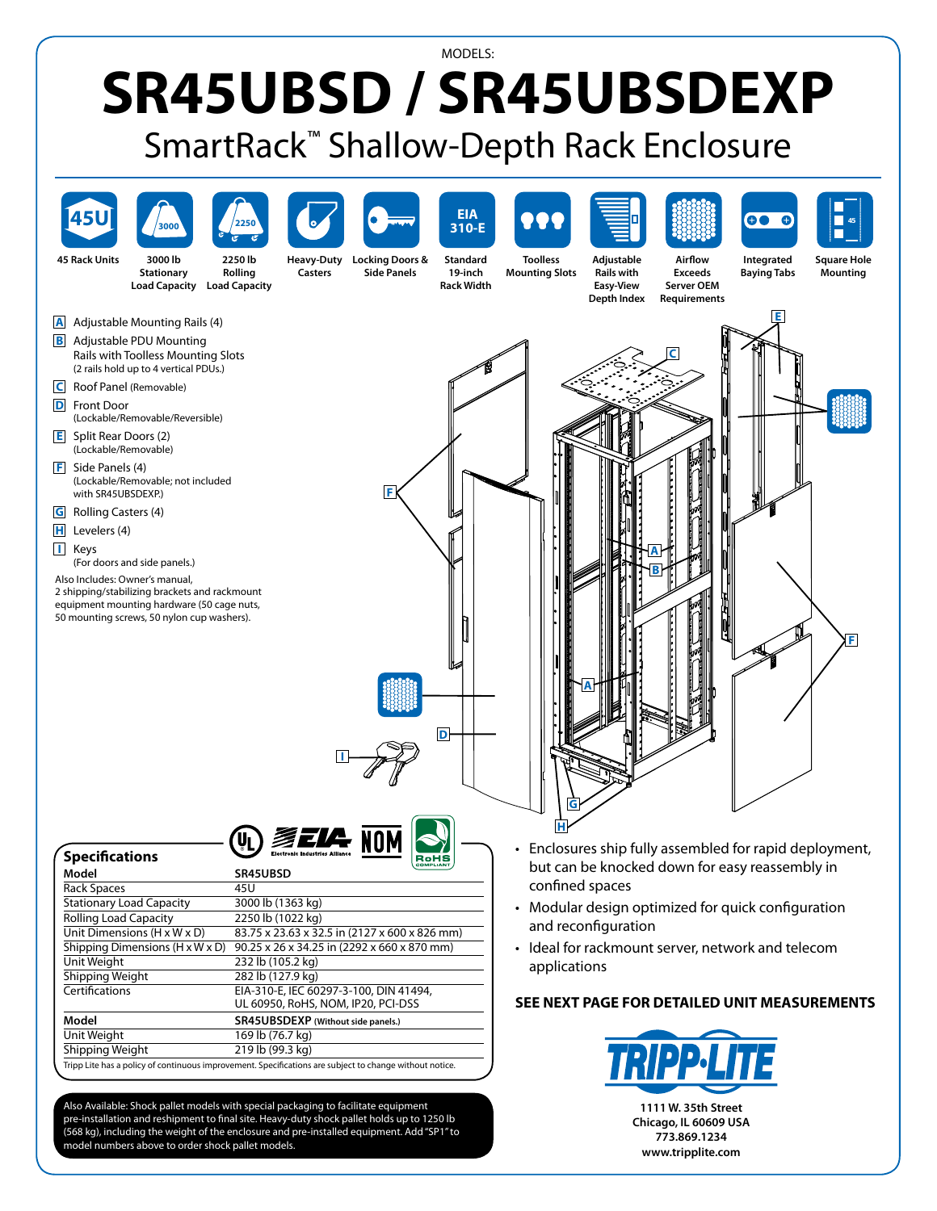## MODELS: **SR45UBSD / SR45UBSDEXP** SmartRack™ Shallow-Depth Rack Enclosure



Also Available: Shock pallet models with special packaging to facilitate equipment pre-installation and reshipment to final site. Heavy-duty shock pallet holds up to 1250 lb (568 kg), including the weight of the enclosure and pre-installed equipment. Add"SP1"to model numbers above to order shock pallet models.

**1111 W. 35th Street Chicago, IL 60609 USA 773.869.1234 www.tripplite.com**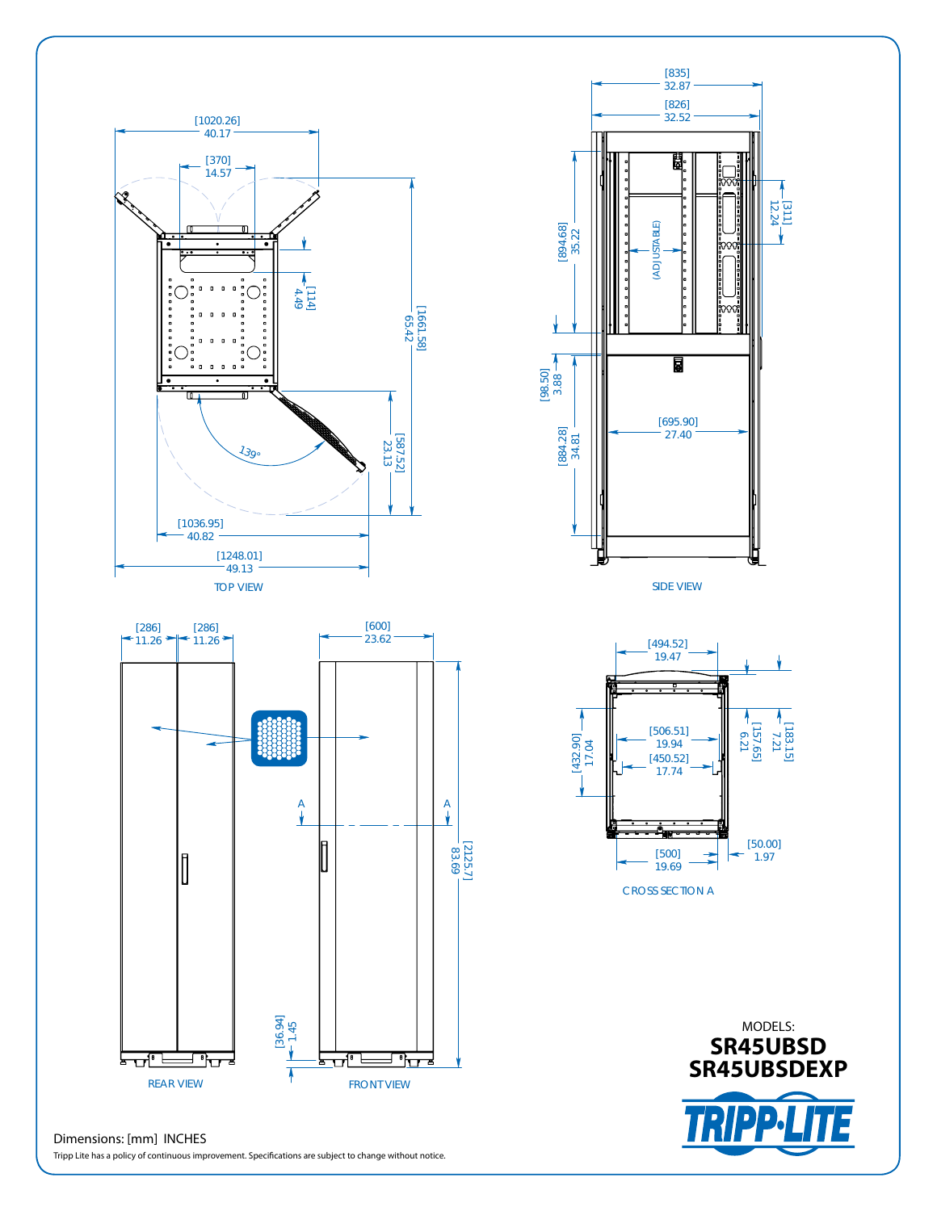

## Dimensions: [mm] INCHES

Tripp Lite has a policy of continuous improvement. Specifications are subject to change without notice.